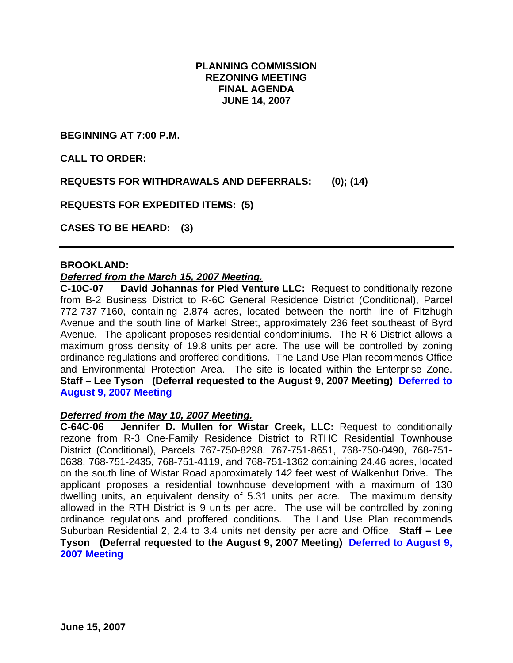## **PLANNING COMMISSION REZONING MEETING FINAL AGENDA JUNE 14, 2007**

**BEGINNING AT 7:00 P.M.** 

**CALL TO ORDER:** 

**REQUESTS FOR WITHDRAWALS AND DEFERRALS: (0); (14)** 

**REQUESTS FOR EXPEDITED ITEMS: (5)** 

**CASES TO BE HEARD: (3)** 

#### **BROOKLAND:**

### *Deferred from the March 15, 2007 Meeting.*

**C-10C-07 David Johannas for Pied Venture LLC:** Request to conditionally rezone from B-2 Business District to R-6C General Residence District (Conditional), Parcel 772-737-7160, containing 2.874 acres, located between the north line of Fitzhugh Avenue and the south line of Markel Street, approximately 236 feet southeast of Byrd Avenue. The applicant proposes residential condominiums. The R-6 District allows a maximum gross density of 19.8 units per acre. The use will be controlled by zoning ordinance regulations and proffered conditions. The Land Use Plan recommends Office and Environmental Protection Area. The site is located within the Enterprise Zone. **Staff – Lee Tyson (Deferral requested to the August 9, 2007 Meeting) Deferred to August 9, 2007 Meeting**

### *Deferred from the May 10, 2007 Meeting.*

**C-64C-06 Jennifer D. Mullen for Wistar Creek, LLC:** Request to conditionally rezone from R-3 One-Family Residence District to RTHC Residential Townhouse District (Conditional), Parcels 767-750-8298, 767-751-8651, 768-750-0490, 768-751- 0638, 768-751-2435, 768-751-4119, and 768-751-1362 containing 24.46 acres, located on the south line of Wistar Road approximately 142 feet west of Walkenhut Drive. The applicant proposes a residential townhouse development with a maximum of 130 dwelling units, an equivalent density of 5.31 units per acre. The maximum density allowed in the RTH District is 9 units per acre. The use will be controlled by zoning ordinance regulations and proffered conditions. The Land Use Plan recommends Suburban Residential 2, 2.4 to 3.4 units net density per acre and Office. **Staff – Lee Tyson (Deferral requested to the August 9, 2007 Meeting) Deferred to August 9, 2007 Meeting**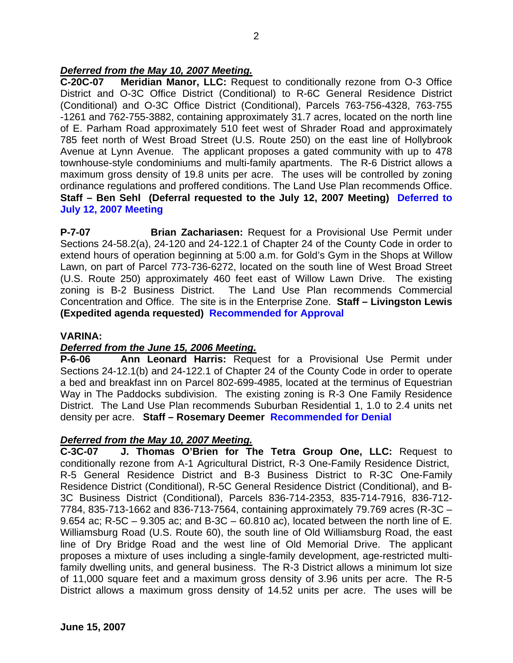# *Deferred from the May 10, 2007 Meeting.*

**C-20C-07 Meridian Manor, LLC:** Request to conditionally rezone from O-3 Office District and O-3C Office District (Conditional) to R-6C General Residence District (Conditional) and O-3C Office District (Conditional), Parcels 763-756-4328, 763-755 -1261 and 762-755-3882, containing approximately 31.7 acres, located on the north line of E. Parham Road approximately 510 feet west of Shrader Road and approximately 785 feet north of West Broad Street (U.S. Route 250) on the east line of Hollybrook Avenue at Lynn Avenue. The applicant proposes a gated community with up to 478 townhouse-style condominiums and multi-family apartments. The R-6 District allows a maximum gross density of 19.8 units per acre. The uses will be controlled by zoning ordinance regulations and proffered conditions. The Land Use Plan recommends Office. **Staff – Ben Sehl (Deferral requested to the July 12, 2007 Meeting) Deferred to July 12, 2007 Meeting**

**P-7-07 Brian Zachariasen:** Request for a Provisional Use Permit under Sections 24-58.2(a), 24-120 and 24-122.1 of Chapter 24 of the County Code in order to extend hours of operation beginning at 5:00 a.m. for Gold's Gym in the Shops at Willow Lawn, on part of Parcel 773-736-6272, located on the south line of West Broad Street (U.S. Route 250) approximately 460 feet east of Willow Lawn Drive. The existing zoning is B-2 Business District. The Land Use Plan recommends Commercial Concentration and Office. The site is in the Enterprise Zone. **Staff – Livingston Lewis (Expedited agenda requested) Recommended for Approval** 

## **VARINA:**

## *Deferred from the June 15, 2006 Meeting.*

**P-6-06 Ann Leonard Harris:** Request for a Provisional Use Permit under Sections 24-12.1(b) and 24-122.1 of Chapter 24 of the County Code in order to operate a bed and breakfast inn on Parcel 802-699-4985, located at the terminus of Equestrian Way in The Paddocks subdivision. The existing zoning is R-3 One Family Residence District. The Land Use Plan recommends Suburban Residential 1, 1.0 to 2.4 units net density per acre. **Staff – Rosemary Deemer Recommended for Denial** 

### *Deferred from the May 10, 2007 Meeting.*

**C-3C-07 J. Thomas O'Brien for The Tetra Group One, LLC:** Request to conditionally rezone from A-1 Agricultural District, R-3 One-Family Residence District, R-5 General Residence District and B-3 Business District to R-3C One-Family Residence District (Conditional), R-5C General Residence District (Conditional), and B-3C Business District (Conditional), Parcels 836-714-2353, 835-714-7916, 836-712- 7784, 835-713-1662 and 836-713-7564, containing approximately 79.769 acres (R-3C – 9.654 ac;  $R$ -5C – 9.305 ac; and B-3C – 60.810 ac), located between the north line of E. Williamsburg Road (U.S. Route 60), the south line of Old Williamsburg Road, the east line of Dry Bridge Road and the west line of Old Memorial Drive. The applicant proposes a mixture of uses including a single-family development, age-restricted multifamily dwelling units, and general business. The R-3 District allows a minimum lot size of 11,000 square feet and a maximum gross density of 3.96 units per acre. The R-5 District allows a maximum gross density of 14.52 units per acre. The uses will be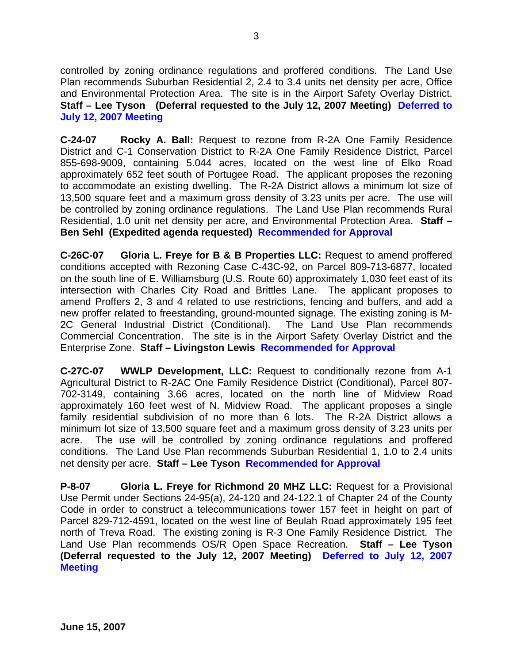controlled by zoning ordinance regulations and proffered conditions. The Land Use Plan recommends Suburban Residential 2, 2.4 to 3.4 units net density per acre, Office and Environmental Protection Area. The site is in the Airport Safety Overlay District. **Staff – Lee Tyson (Deferral requested to the July 12, 2007 Meeting) Deferred to July 12, 2007 Meeting**

**C-24-07 Rocky A. Ball:** Request to rezone from R-2A One Family Residence District and C-1 Conservation District to R-2A One Family Residence District, Parcel 855-698-9009, containing 5.044 acres, located on the west line of Elko Road approximately 652 feet south of Portugee Road. The applicant proposes the rezoning to accommodate an existing dwelling. The R-2A District allows a minimum lot size of 13,500 square feet and a maximum gross density of 3.23 units per acre. The use will be controlled by zoning ordinance regulations. The Land Use Plan recommends Rural Residential, 1.0 unit net density per acre, and Environmental Protection Area. **Staff – Ben Sehl (Expedited agenda requested) Recommended for Approval** 

**C-26C-07 Gloria L. Freye for B & B Properties LLC:** Request to amend proffered conditions accepted with Rezoning Case C-43C-92, on Parcel 809-713-6877, located on the south line of E. Williamsburg (U.S. Route 60) approximately 1,030 feet east of its intersection with Charles City Road and Brittles Lane. The applicant proposes to amend Proffers 2, 3 and 4 related to use restrictions, fencing and buffers, and add a new proffer related to freestanding, ground-mounted signage. The existing zoning is M-2C General Industrial District (Conditional). The Land Use Plan recommends Commercial Concentration. The site is in the Airport Safety Overlay District and the Enterprise Zone. **Staff – Livingston Lewis Recommended for Approval** 

**C-27C-07 WWLP Development, LLC:** Request to conditionally rezone from A-1 Agricultural District to R-2AC One Family Residence District (Conditional), Parcel 807- 702-3149, containing 3.66 acres, located on the north line of Midview Road approximately 160 feet west of N. Midview Road. The applicant proposes a single family residential subdivision of no more than 6 lots. The R-2A District allows a minimum lot size of 13,500 square feet and a maximum gross density of 3.23 units per acre. The use will be controlled by zoning ordinance regulations and proffered conditions. The Land Use Plan recommends Suburban Residential 1, 1.0 to 2.4 units net density per acre. **Staff – Lee Tyson Recommended for Approval** 

**P-8-07 Gloria L. Freye for Richmond 20 MHZ LLC:** Request for a Provisional Use Permit under Sections 24-95(a), 24-120 and 24-122.1 of Chapter 24 of the County Code in order to construct a telecommunications tower 157 feet in height on part of Parcel 829-712-4591, located on the west line of Beulah Road approximately 195 feet north of Treva Road. The existing zoning is R-3 One Family Residence District. The Land Use Plan recommends OS/R Open Space Recreation. **Staff – Lee Tyson (Deferral requested to the July 12, 2007 Meeting) Deferred to July 12, 2007 Meeting**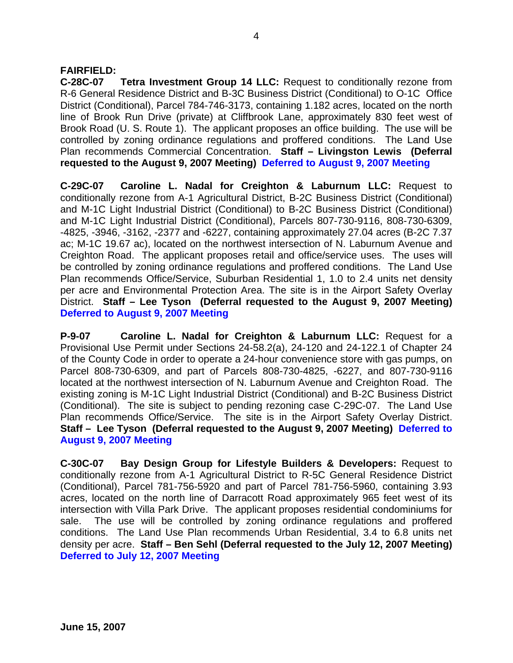## **FAIRFIELD:**

**C-28C-07 Tetra Investment Group 14 LLC:** Request to conditionally rezone from R-6 General Residence District and B-3C Business District (Conditional) to O-1C Office District (Conditional), Parcel 784-746-3173, containing 1.182 acres, located on the north line of Brook Run Drive (private) at Cliffbrook Lane, approximately 830 feet west of Brook Road (U. S. Route 1). The applicant proposes an office building. The use will be controlled by zoning ordinance regulations and proffered conditions. The Land Use Plan recommends Commercial Concentration. **Staff – Livingston Lewis (Deferral requested to the August 9, 2007 Meeting) Deferred to August 9, 2007 Meeting**

**C-29C-07 Caroline L. Nadal for Creighton & Laburnum LLC:** Request to conditionally rezone from A-1 Agricultural District, B-2C Business District (Conditional) and M-1C Light Industrial District (Conditional) to B-2C Business District (Conditional) and M-1C Light Industrial District (Conditional), Parcels 807-730-9116, 808-730-6309, -4825, -3946, -3162, -2377 and -6227, containing approximately 27.04 acres (B-2C 7.37 ac; M-1C 19.67 ac), located on the northwest intersection of N. Laburnum Avenue and Creighton Road. The applicant proposes retail and office/service uses. The uses will be controlled by zoning ordinance regulations and proffered conditions. The Land Use Plan recommends Office/Service, Suburban Residential 1, 1.0 to 2.4 units net density per acre and Environmental Protection Area. The site is in the Airport Safety Overlay District. **Staff – Lee Tyson (Deferral requested to the August 9, 2007 Meeting) Deferred to August 9, 2007 Meeting**

**P-9-07 Caroline L. Nadal for Creighton & Laburnum LLC:** Request for a Provisional Use Permit under Sections 24-58.2(a), 24-120 and 24-122.1 of Chapter 24 of the County Code in order to operate a 24-hour convenience store with gas pumps, on Parcel 808-730-6309, and part of Parcels 808-730-4825, -6227, and 807-730-9116 located at the northwest intersection of N. Laburnum Avenue and Creighton Road. The existing zoning is M-1C Light Industrial District (Conditional) and B-2C Business District (Conditional). The site is subject to pending rezoning case C-29C-07. The Land Use Plan recommends Office/Service. The site is in the Airport Safety Overlay District. **Staff – Lee Tyson (Deferral requested to the August 9, 2007 Meeting) Deferred to August 9, 2007 Meeting**

**C-30C-07 Bay Design Group for Lifestyle Builders & Developers:** Request to conditionally rezone from A-1 Agricultural District to R-5C General Residence District (Conditional), Parcel 781-756-5920 and part of Parcel 781-756-5960, containing 3.93 acres, located on the north line of Darracott Road approximately 965 feet west of its intersection with Villa Park Drive. The applicant proposes residential condominiums for sale. The use will be controlled by zoning ordinance regulations and proffered conditions. The Land Use Plan recommends Urban Residential, 3.4 to 6.8 units net density per acre. **Staff – Ben Sehl (Deferral requested to the July 12, 2007 Meeting) Deferred to July 12, 2007 Meeting**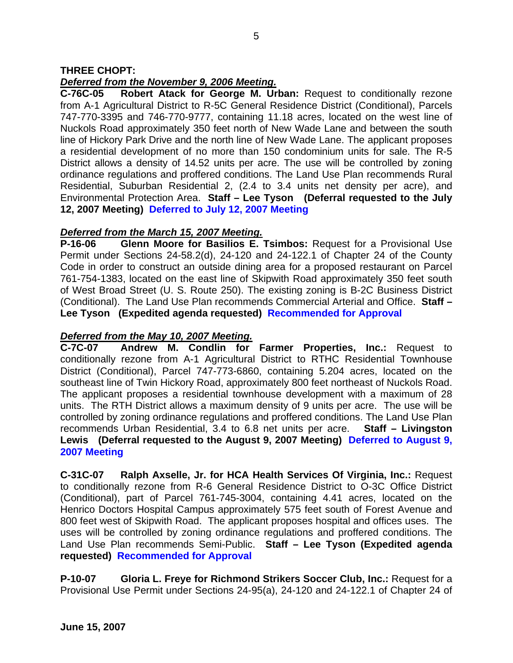## **THREE CHOPT:**

## *Deferred from the November 9, 2006 Meeting.*

**C-76C-05 Robert Atack for George M. Urban:** Request to conditionally rezone from A-1 Agricultural District to R-5C General Residence District (Conditional), Parcels 747-770-3395 and 746-770-9777, containing 11.18 acres, located on the west line of Nuckols Road approximately 350 feet north of New Wade Lane and between the south line of Hickory Park Drive and the north line of New Wade Lane. The applicant proposes a residential development of no more than 150 condominium units for sale. The R-5 District allows a density of 14.52 units per acre. The use will be controlled by zoning ordinance regulations and proffered conditions. The Land Use Plan recommends Rural Residential, Suburban Residential 2, (2.4 to 3.4 units net density per acre), and Environmental Protection Area. **Staff – Lee Tyson (Deferral requested to the July 12, 2007 Meeting) Deferred to July 12, 2007 Meeting**

### *Deferred from the March 15, 2007 Meeting.*

**P-16-06 Glenn Moore for Basilios E. Tsimbos:** Request for a Provisional Use Permit under Sections 24-58.2(d), 24-120 and 24-122.1 of Chapter 24 of the County Code in order to construct an outside dining area for a proposed restaurant on Parcel 761-754-1383, located on the east line of Skipwith Road approximately 350 feet south of West Broad Street (U. S. Route 250). The existing zoning is B-2C Business District (Conditional). The Land Use Plan recommends Commercial Arterial and Office. **Staff – Lee Tyson (Expedited agenda requested) Recommended for Approval** 

## *Deferred from the May 10, 2007 Meeting.*

**C-7C-07 Andrew M. Condlin for Farmer Properties, Inc.:** Request to conditionally rezone from A-1 Agricultural District to RTHC Residential Townhouse District (Conditional), Parcel 747-773-6860, containing 5.204 acres, located on the southeast line of Twin Hickory Road, approximately 800 feet northeast of Nuckols Road. The applicant proposes a residential townhouse development with a maximum of 28 units. The RTH District allows a maximum density of 9 units per acre. The use will be controlled by zoning ordinance regulations and proffered conditions. The Land Use Plan recommends Urban Residential, 3.4 to 6.8 net units per acre. **Staff – Livingston Lewis (Deferral requested to the August 9, 2007 Meeting) Deferred to August 9, 2007 Meeting**

**C-31C-07 Ralph Axselle, Jr. for HCA Health Services Of Virginia, Inc.:** Request to conditionally rezone from R-6 General Residence District to O-3C Office District (Conditional), part of Parcel 761-745-3004, containing 4.41 acres, located on the Henrico Doctors Hospital Campus approximately 575 feet south of Forest Avenue and 800 feet west of Skipwith Road. The applicant proposes hospital and offices uses. The uses will be controlled by zoning ordinance regulations and proffered conditions. The Land Use Plan recommends Semi-Public. **Staff – Lee Tyson (Expedited agenda requested) Recommended for Approval** 

**P-10-07 Gloria L. Freye for Richmond Strikers Soccer Club, Inc.:** Request for a Provisional Use Permit under Sections 24-95(a), 24-120 and 24-122.1 of Chapter 24 of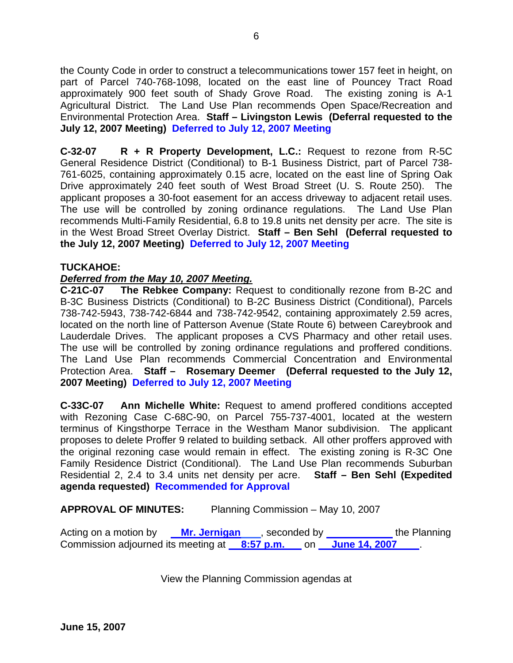the County Code in order to construct a telecommunications tower 157 feet in height, on part of Parcel 740-768-1098, located on the east line of Pouncey Tract Road approximately 900 feet south of Shady Grove Road. The existing zoning is A-1 Agricultural District. The Land Use Plan recommends Open Space/Recreation and Environmental Protection Area. **Staff – Livingston Lewis (Deferral requested to the July 12, 2007 Meeting) Deferred to July 12, 2007 Meeting**

**C-32-07 R + R Property Development, L.C.:** Request to rezone from R-5C General Residence District (Conditional) to B-1 Business District, part of Parcel 738- 761-6025, containing approximately 0.15 acre, located on the east line of Spring Oak Drive approximately 240 feet south of West Broad Street (U. S. Route 250). The applicant proposes a 30-foot easement for an access driveway to adjacent retail uses. The use will be controlled by zoning ordinance regulations. The Land Use Plan recommends Multi-Family Residential, 6.8 to 19.8 units net density per acre. The site is in the West Broad Street Overlay District. **Staff – Ben Sehl (Deferral requested to the July 12, 2007 Meeting) Deferred to July 12, 2007 Meeting**

## **TUCKAHOE:**

## *Deferred from the May 10, 2007 Meeting.*

**C-21C-07 The Rebkee Company:** Request to conditionally rezone from B-2C and B-3C Business Districts (Conditional) to B-2C Business District (Conditional), Parcels 738-742-5943, 738-742-6844 and 738-742-9542, containing approximately 2.59 acres, located on the north line of Patterson Avenue (State Route 6) between Careybrook and Lauderdale Drives. The applicant proposes a CVS Pharmacy and other retail uses. The use will be controlled by zoning ordinance regulations and proffered conditions. The Land Use Plan recommends Commercial Concentration and Environmental Protection Area. **Staff – Rosemary Deemer (Deferral requested to the July 12, 2007 Meeting) Deferred to July 12, 2007 Meeting**

**C-33C-07 Ann Michelle White:** Request to amend proffered conditions accepted with Rezoning Case C-68C-90, on Parcel 755-737-4001, located at the western terminus of Kingsthorpe Terrace in the Westham Manor subdivision. The applicant proposes to delete Proffer 9 related to building setback. All other proffers approved with the original rezoning case would remain in effect. The existing zoning is R-3C One Family Residence District (Conditional). The Land Use Plan recommends Suburban Residential 2, 2.4 to 3.4 units net density per acre. **Staff – Ben Sehl (Expedited agenda requested) Recommended for Approval** 

**APPROVAL OF MINUTES:** Planning Commission – May 10, 2007

Acting on a motion by **Mr. Jernigan**, seconded by the Planning Commission adjourned its meeting at **8:57 p.m.** on **June 14, 2007** .

View the Planning Commission agendas at